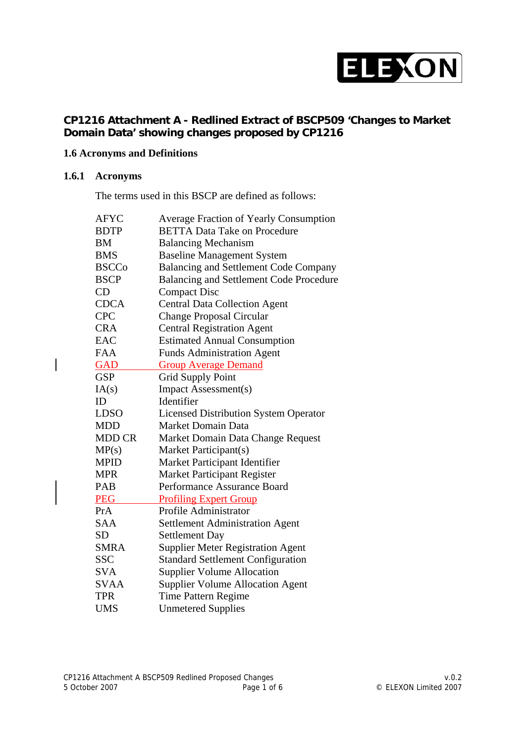

## **CP1216 Attachment A - Redlined Extract of BSCP509 'Changes to Market Domain Data' showing changes proposed by CP1216**

## **1.6 Acronyms and Definitions**

#### **1.6.1 Acronyms**

 $\overline{\phantom{a}}$ 

The terms used in this BSCP are defined as follows:

| <b>AFYC</b>   | <b>Average Fraction of Yearly Consumption</b>  |
|---------------|------------------------------------------------|
| <b>BDTP</b>   | <b>BETTA Data Take on Procedure</b>            |
| BM            | <b>Balancing Mechanism</b>                     |
| <b>BMS</b>    | <b>Baseline Management System</b>              |
| <b>BSCCo</b>  | <b>Balancing and Settlement Code Company</b>   |
| <b>BSCP</b>   | <b>Balancing and Settlement Code Procedure</b> |
| CD            | <b>Compact Disc</b>                            |
| <b>CDCA</b>   | <b>Central Data Collection Agent</b>           |
| <b>CPC</b>    | <b>Change Proposal Circular</b>                |
| <b>CRA</b>    | <b>Central Registration Agent</b>              |
| EAC           | <b>Estimated Annual Consumption</b>            |
| <b>FAA</b>    | <b>Funds Administration Agent</b>              |
| <b>GAD</b>    | <b>Group Average Demand</b>                    |
| <b>GSP</b>    | <b>Grid Supply Point</b>                       |
| IA(s)         | <b>Impact Assessment(s)</b>                    |
| ID            | Identifier                                     |
| <b>LDSO</b>   | <b>Licensed Distribution System Operator</b>   |
| <b>MDD</b>    | <b>Market Domain Data</b>                      |
| <b>MDD CR</b> | Market Domain Data Change Request              |
| MP(s)         | Market Participant(s)                          |
| <b>MPID</b>   | Market Participant Identifier                  |
| <b>MPR</b>    | <b>Market Participant Register</b>             |
| <b>PAB</b>    | Performance Assurance Board                    |
| <b>PEG</b>    | <b>Profiling Expert Group</b>                  |
| PrA           | Profile Administrator                          |
| <b>SAA</b>    | <b>Settlement Administration Agent</b>         |
| <b>SD</b>     | <b>Settlement Day</b>                          |
| <b>SMRA</b>   | <b>Supplier Meter Registration Agent</b>       |
| <b>SSC</b>    | <b>Standard Settlement Configuration</b>       |
| <b>SVA</b>    | <b>Supplier Volume Allocation</b>              |
| <b>SVAA</b>   | <b>Supplier Volume Allocation Agent</b>        |
| <b>TPR</b>    | Time Pattern Regime                            |
| <b>UMS</b>    | <b>Unmetered Supplies</b>                      |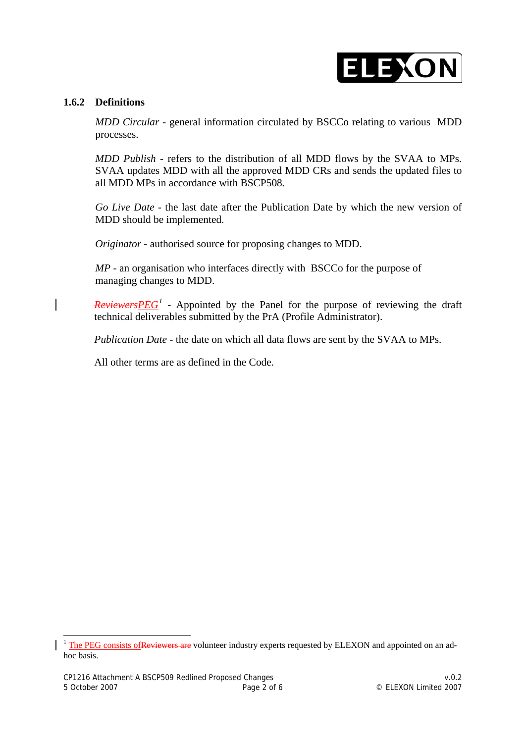## ELEXON

### **1.6.2 Definitions**

*MDD Circular -* general information circulated by BSCCo relating to various MDD processes.

*MDD Publish -* refers to the distribution of all MDD flows by the SVAA to MPs. SVAA updates MDD with all the approved MDD CRs and sends the updated files to all MDD MPs in accordance with BSCP508*.*

*Go Live Date -* the last date after the Publication Date by which the new version of MDD should be implemented.

*Originator* - authorised source for proposing changes to MDD.

*MP -* an organisation who interfaces directly with BSCCo for the purpose of managing changes to MDD.

*Reviewers*  $PEG<sup>1</sup>$  $PEG<sup>1</sup>$  $PEG<sup>1</sup>$  - Appointed by the Panel for the purpose of reviewing the draft technical deliverables submitted by the PrA (Profile Administrator).

*Publication Date* - the date on which all data flows are sent by the SVAA to MPs.

All other terms are as defined in the Code.

 $\overline{a}$ 

<span id="page-1-0"></span><sup>&</sup>lt;sup>1</sup> The PEG consists of Reviewers are volunteer industry experts requested by ELEXON and appointed on an adhoc basis.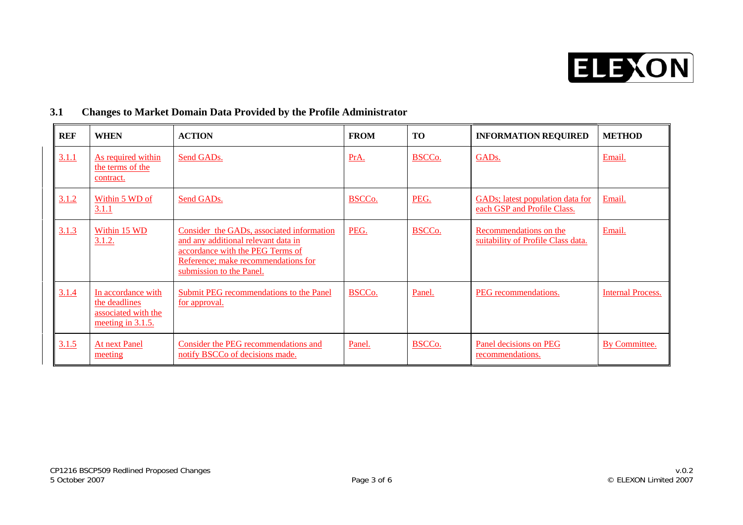

| 3.1 |  | <b>Changes to Market Domain Data Provided by the Profile Administrator</b> |
|-----|--|----------------------------------------------------------------------------|
|     |  |                                                                            |

| <b>REF</b> | <b>WHEN</b>                                                                     | <b>ACTION</b>                                                                                                                                                                           | <b>FROM</b>        | <b>TO</b> | <b>INFORMATION REQUIRED</b>                                     | <b>METHOD</b>            |
|------------|---------------------------------------------------------------------------------|-----------------------------------------------------------------------------------------------------------------------------------------------------------------------------------------|--------------------|-----------|-----------------------------------------------------------------|--------------------------|
| 3.1.1      | As required within<br>the terms of the<br>contract.                             | Send GADs.                                                                                                                                                                              | PrA.               | BSCCo.    | GAD <sub>s</sub> .                                              | Email.                   |
| 3.1.2      | Within 5 WD of<br>3.1.1                                                         | Send GADs.                                                                                                                                                                              | BSCC <sub>o.</sub> | PEG.      | GADs; latest population data for<br>each GSP and Profile Class. | Email.                   |
| 3.1.3      | Within 15 WD<br>3.1.2.                                                          | Consider the GADs, associated information<br>and any additional relevant data in<br>accordance with the PEG Terms of<br>Reference; make recommendations for<br>submission to the Panel. | PEG.               | BSCCo.    | Recommendations on the<br>suitability of Profile Class data.    | Email.                   |
| 3.1.4      | In accordance with<br>the deadlines<br>associated with the<br>meeting in 3.1.5. | Submit PEG recommendations to the Panel<br>for approval.                                                                                                                                | BSCC <sub>o.</sub> | Panel.    | PEG recommendations.                                            | <b>Internal Process.</b> |
| 3.1.5      | <b>At next Panel</b><br>meeting                                                 | Consider the PEG recommendations and<br>notify BSCCo of decisions made.                                                                                                                 | Panel.             | BSCCo.    | Panel decisions on PEG<br>recommendations.                      | By Committee.            |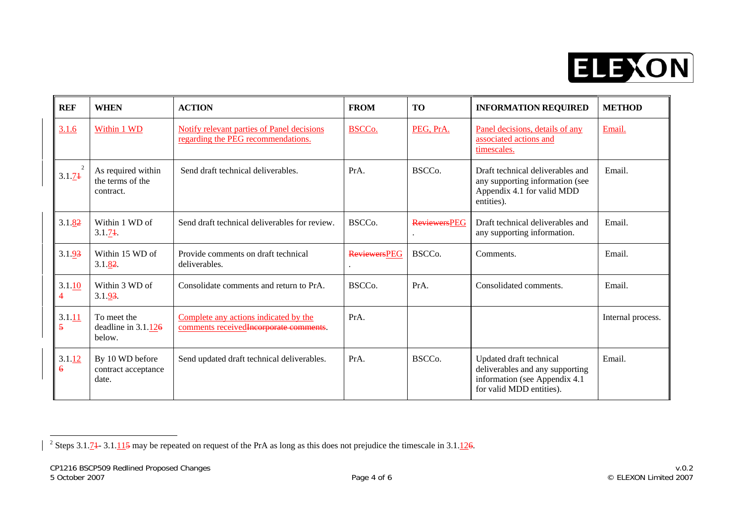

| <b>REF</b>  | <b>WHEN</b>                                         | <b>ACTION</b>                                                                           | <b>FROM</b>         | <b>TO</b>           | <b>INFORMATION REQUIRED</b>                                                                                              | <b>METHOD</b>     |
|-------------|-----------------------------------------------------|-----------------------------------------------------------------------------------------|---------------------|---------------------|--------------------------------------------------------------------------------------------------------------------------|-------------------|
| 3.1.6       | Within 1 WD                                         | <b>Notify relevant parties of Panel decisions</b><br>regarding the PEG recommendations. | <b>BSCCo.</b>       | PEG, PrA.           | Panel decisions, details of any<br>associated actions and<br>timescales.                                                 | Email.            |
| 3.1.74      | As required within<br>the terms of the<br>contract. | Send draft technical deliverables.                                                      | PrA.                | BSCC <sub>o</sub> . | Draft technical deliverables and<br>any supporting information (see<br>Appendix 4.1 for valid MDD<br>entities).          | Email.            |
| 3.1.82      | Within 1 WD of<br>3.1.74                            | Send draft technical deliverables for review.                                           | BSCCo.              | <b>ReviewersPEG</b> | Draft technical deliverables and<br>any supporting information.                                                          | Email.            |
| 3.1.93      | Within 15 WD of<br>3.1.82                           | Provide comments on draft technical<br>deliverables.                                    | <b>ReviewersPEG</b> | BSCC <sub>o</sub> . | Comments.                                                                                                                | Email.            |
| 3.1.10      | Within 3 WD of<br>3.1.93                            | Consolidate comments and return to PrA.                                                 | BSCC <sub>o</sub> . | PrA.                | Consolidated comments.                                                                                                   | Email.            |
| 3.1.11<br>5 | To meet the<br>deadline in $3.1.126$<br>below.      | Complete any actions indicated by the<br>comments received Incorporate comments.        | PrA.                |                     |                                                                                                                          | Internal process. |
| 3.1.12<br>6 | By 10 WD before<br>contract acceptance<br>date.     | Send updated draft technical deliverables.                                              | PrA.                | BSCC <sub>0</sub> . | Updated draft technical<br>deliverables and any supporting<br>information (see Appendix 4.1)<br>for valid MDD entities). | Email.            |

<span id="page-3-0"></span><sup>&</sup>lt;sup>2</sup> Steps 3.1.7<sup>1</sup> - 3.1.1<sup>1</sup>/<sub>2</sub>5 may be repeated on request of the PrA as long as this does not prejudice the timescale in 3.1.126.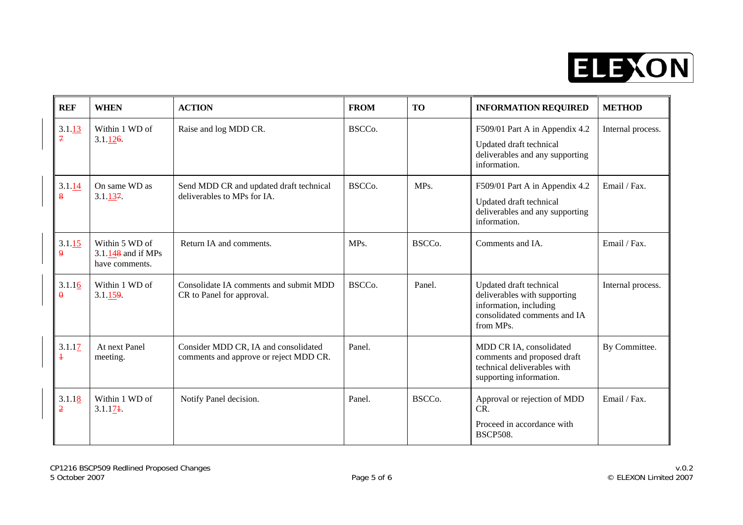

| <b>REF</b>               | <b>WHEN</b>                                              | <b>ACTION</b>                                                                  | <b>FROM</b>         | <b>TO</b> | <b>INFORMATION REQUIRED</b>                                                                                                    | <b>METHOD</b>     |
|--------------------------|----------------------------------------------------------|--------------------------------------------------------------------------------|---------------------|-----------|--------------------------------------------------------------------------------------------------------------------------------|-------------------|
| 3.1.13<br>$\overline{7}$ | Within 1 WD of<br>$3.1 \underline{126}$                  | Raise and log MDD CR.                                                          | BSCCo.              |           | F509/01 Part A in Appendix 4.2<br>Updated draft technical<br>deliverables and any supporting<br>information.                   | Internal process. |
| 3.1.14<br>$\bf{8}$       | On same WD as<br>3.1.137                                 | Send MDD CR and updated draft technical<br>deliverables to MPs for IA.         | BSCC <sub>o</sub> . | MPs.      | F509/01 Part A in Appendix 4.2<br>Updated draft technical<br>deliverables and any supporting<br>information.                   | Email / Fax.      |
| 3.1.15<br>$\overline{9}$ | Within 5 WD of<br>$3.1.148$ and if MPs<br>have comments. | Return IA and comments.                                                        | MP <sub>s</sub> .   | BSCCo.    | Comments and IA.                                                                                                               | Email / Fax.      |
| 3.1.16<br>$\theta$       | Within 1 WD of<br>3.1.159                                | Consolidate IA comments and submit MDD<br>CR to Panel for approval.            | BSCC <sub>o</sub> . | Panel.    | Updated draft technical<br>deliverables with supporting<br>information, including<br>consolidated comments and IA<br>from MPs. | Internal process. |
| 3.1.17<br>$\ddagger$     | At next Panel<br>meeting.                                | Consider MDD CR, IA and consolidated<br>comments and approve or reject MDD CR. | Panel.              |           | MDD CR IA, consolidated<br>comments and proposed draft<br>technical deliverables with<br>supporting information.               | By Committee.     |
| 3.1.18<br>$\overline{2}$ | Within 1 WD of<br>3.1.174                                | Notify Panel decision.                                                         | Panel.              | BSCCo.    | Approval or rejection of MDD<br>CR.<br>Proceed in accordance with<br><b>BSCP508.</b>                                           | Email / Fax.      |